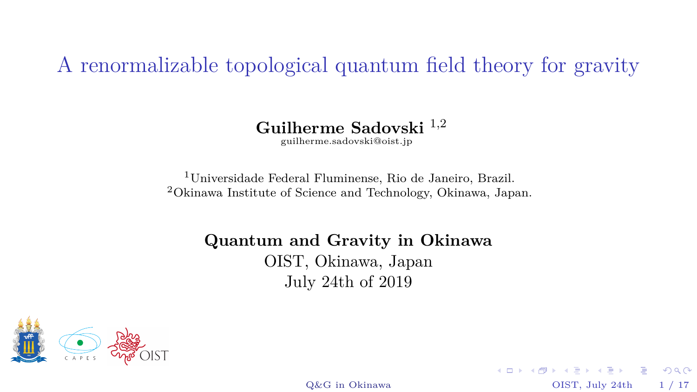<span id="page-0-0"></span>A renormalizable topological quantum field theory for gravity

**Guilherme Sadovski** <sup>1</sup>*,*<sup>2</sup>

[guilherme.sadovski@oist.jp](mailto:guilherme.sadovski@oist.jp)

<sup>1</sup>Universidade Federal Fluminense, Rio de Janeiro, Brazil. <sup>2</sup>Okinawa Institute of Science and Technology, Okinawa, Japan.

**Quantum and Gravity in Okinawa**

OIST, Okinawa, Japan July 24th of 2019



[Q&G in Okinawa](#page-40-0)  $OIST$ , July 24th 1 / 17

 $QQQ$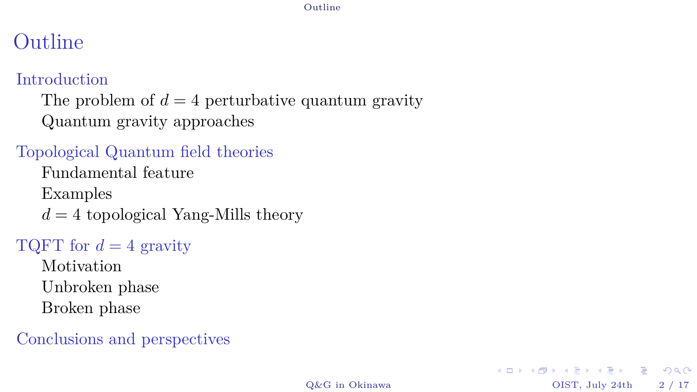#### [Outline](#page-1-0)

# <span id="page-1-0"></span>Outline

#### [Introduction](#page-2-0)

The problem of  $d = 4$  [perturbative quantum gravity](#page-2-0) [Quantum gravity approaches](#page-8-0)

#### [Topological Quantum field theories](#page-9-0)

[Fundamental feature](#page-9-0)

[Examples](#page-12-0)

 $d = 4$  [topological Yang-Mills theory](#page-13-0)

#### [TQFT for](#page-24-0)  $d = 4$  gravity

[Motivation](#page-24-0) [Unbroken phase](#page-27-0) [Broken phase](#page-33-0)

[Conclusions and perspectives](#page-36-0)

 $2990$ 

イロト イ団 トイヨト イヨト ニヨー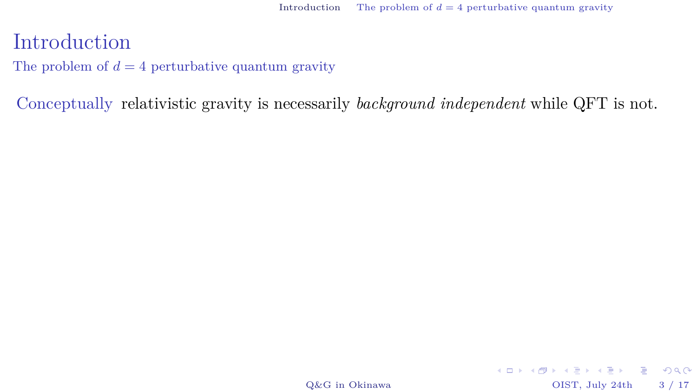K ロ ▶ K @ ▶ K 할 > K 할 > 1 할 > 1 이익어

#### <span id="page-2-0"></span>Introduction

The problem of  $d = 4$  perturbative quantum gravity

Conceptually relativistic gravity is necessarily *background independent* while QFT is not.

[Q&G in Okinawa](#page-0-0) OIST, July 24th 3 / 17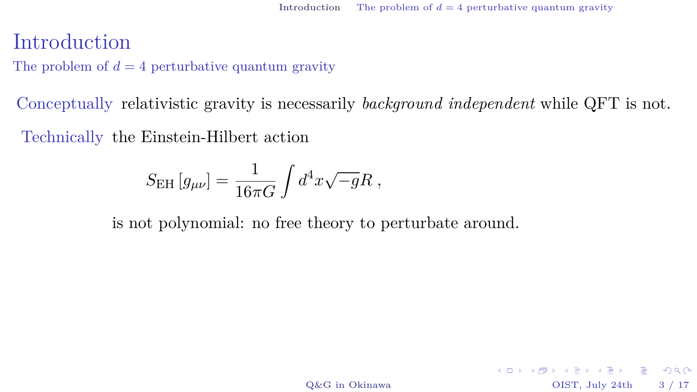KID KARA KERKER E KORO

#### Introduction

The problem of  $d = 4$  perturbative quantum gravity

Conceptually relativistic gravity is necessarily *background independent* while QFT is not.

Technically the Einstein-Hilbert action

$$
S_{\rm EH}\left[g_{\mu\nu}\right] = \frac{1}{16\pi G}\int d^4x \sqrt{-g}R\;,
$$

is not polynomial: no free theory to perturbate around.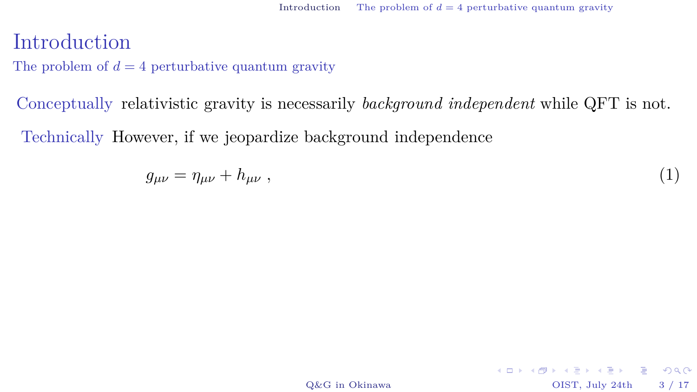K ロ ▶ K @ ▶ K 할 > K 할 > 1 할 > 1 9 Q Q\*

#### Introduction

The problem of  $d = 4$  perturbative quantum gravity

Conceptually relativistic gravity is necessarily *background independent* while QFT is not.

Technically However, if we jeopardize background independence

$$
g_{\mu\nu} = \eta_{\mu\nu} + h_{\mu\nu} \tag{1}
$$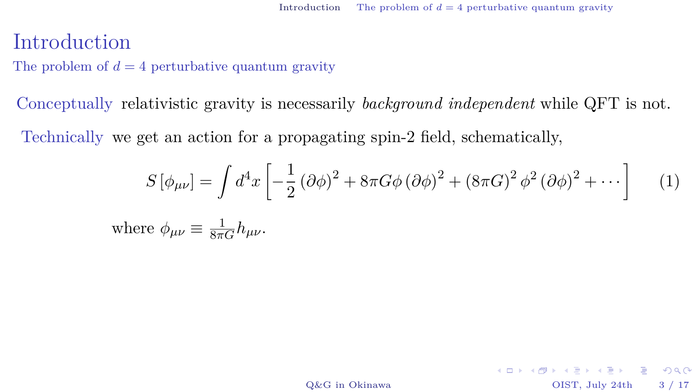K ロ ▶ K @ ▶ K 할 > K 할 > 1 할 > 1 9 Q Q\*

#### Introduction

The problem of  $d = 4$  perturbative quantum gravity

Conceptually relativistic gravity is necessarily *background independent* while QFT is not.

Technically we get an action for a propagating spin-2 field, schematically,

$$
S\left[\phi_{\mu\nu}\right] = \int d^4x \left[ -\frac{1}{2} \left(\partial \phi\right)^2 + 8\pi G \phi \left(\partial \phi\right)^2 + \left(8\pi G\right)^2 \phi^2 \left(\partial \phi\right)^2 + \cdots \right] \tag{1}
$$

where  $\phi_{\mu\nu} \equiv \frac{1}{8\pi G} h_{\mu\nu}$ .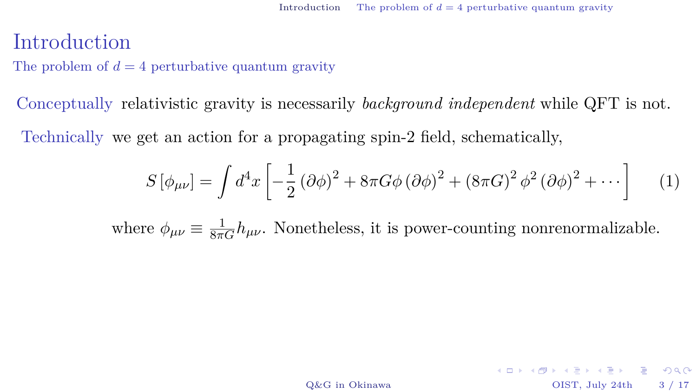K ロ ▶ K @ ▶ K 할 > K 할 > 1 할 > 1 9 Q Q\*

#### Introduction

The problem of  $d = 4$  perturbative quantum gravity

Conceptually relativistic gravity is necessarily *background independent* while QFT is not.

Technically we get an action for a propagating spin-2 field, schematically,

$$
S\left[\phi_{\mu\nu}\right] = \int d^4x \left[ -\frac{1}{2} \left(\partial \phi\right)^2 + 8\pi G \phi \left(\partial \phi\right)^2 + \left(8\pi G\right)^2 \phi^2 \left(\partial \phi\right)^2 + \cdots \right] \tag{1}
$$

where  $\phi_{\mu\nu} \equiv \frac{1}{8\pi G} h_{\mu\nu}$ . Nonetheless, it is power-counting nonrenormalizable.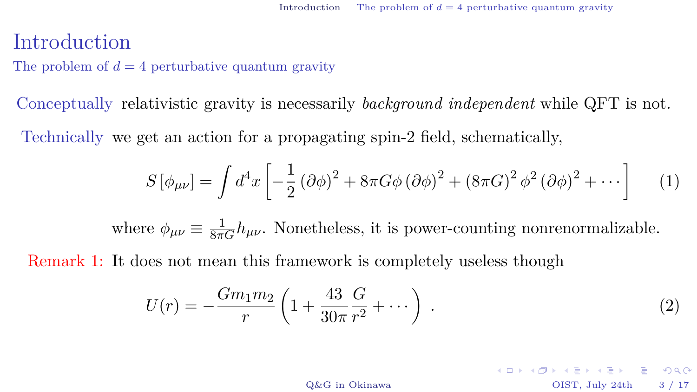#### Introduction

The problem of  $d = 4$  perturbative quantum gravity

Conceptually relativistic gravity is necessarily *background independent* while QFT is not.

Technically we get an action for a propagating spin-2 field, schematically,

$$
S\left[\phi_{\mu\nu}\right] = \int d^4x \left[ -\frac{1}{2} \left(\partial \phi\right)^2 + 8\pi G \phi \left(\partial \phi\right)^2 + \left(8\pi G\right)^2 \phi^2 \left(\partial \phi\right)^2 + \cdots \right] \tag{1}
$$

where  $\phi_{\mu\nu} \equiv \frac{1}{8\pi G} h_{\mu\nu}$ . Nonetheless, it is power-counting nonrenormalizable.

Remark 1: It does not mean this framework is completely useless though

$$
U(r) = -\frac{Gm_1m_2}{r} \left( 1 + \frac{43}{30\pi} \frac{G}{r^2} + \dotsb \right) . \tag{2}
$$

K ロ ▶ K @ ▶ K 할 > K 할 > 1 할 > 1 9 Q Q\* [Q&G in Okinawa](#page-0-0) OIST, July 24th 3 / 17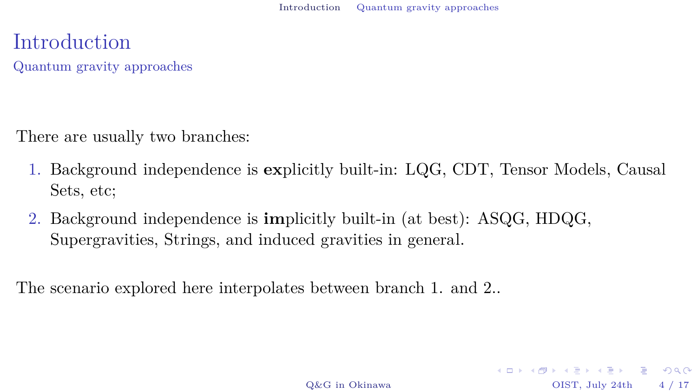<span id="page-8-0"></span>Introduction Quantum gravity approaches

There are usually two branches:

- 1. Background independence is **ex**plicitly built-in: LQG, CDT, Tensor Models, Causal Sets, etc;
- 2. Background independence is **im**plicitly built-in (at best): ASQG, HDQG, Supergravities, Strings, and induced gravities in general.

The scenario explored here interpolates between branch 1. and 2..

[Q&G in Okinawa](#page-0-0) OIST, July 24th 4 / 17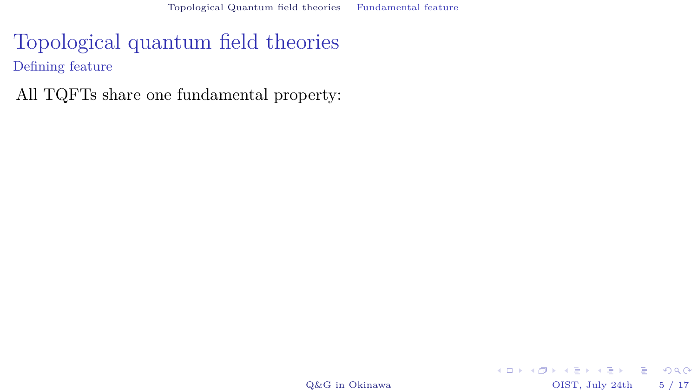## <span id="page-9-0"></span>Topological quantum field theories Defining feature

All TQFTs share one fundamental property:

 $\operatorname{Q\&G}$ in Okinawa OIST, July 24th 5 / 17

**KID KID KID KID KID → DI DAQ**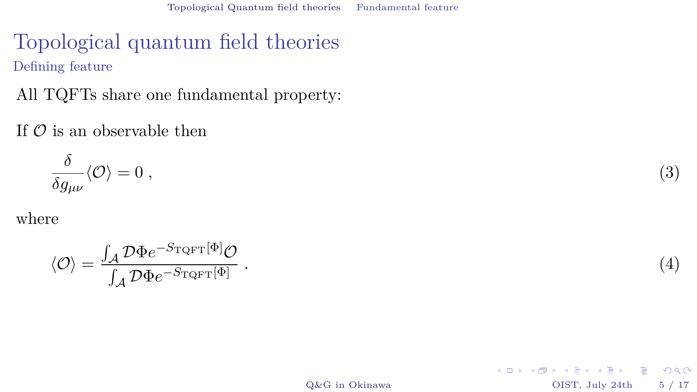## Topological quantum field theories Defining feature

All TQFTs share one fundamental property:

If  $\mathcal O$  is an observable then

$$
\frac{\delta}{\delta g_{\mu\nu}}\langle \mathcal{O} \rangle = 0 \;, \tag{3}
$$

where

$$
\langle \mathcal{O} \rangle = \frac{\int_{\mathcal{A}} \mathcal{D} \Phi e^{-S_{\text{TQFT}}[\Phi]} \mathcal{O}}{\int_{\mathcal{A}} \mathcal{D} \Phi e^{-S_{\text{TQFT}}[\Phi]}} \,. \tag{4}
$$

 $Q\&G$  in Okinawa  $OIST$ , July 24th  $5/17$ 

 $2990$ 

イロト イ団 トイヨト イヨト ニヨー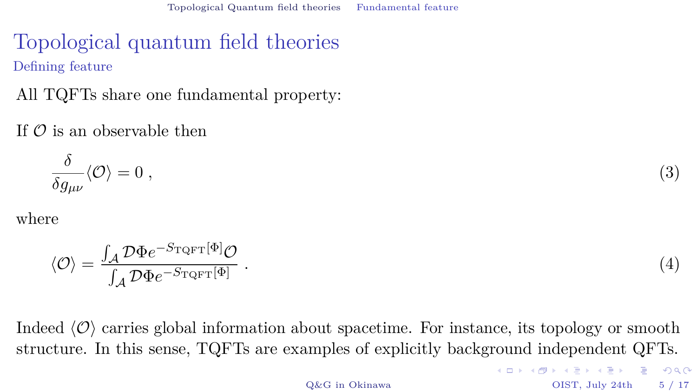# Topological quantum field theories Defining feature

All TQFTs share one fundamental property:

#### If  $\mathcal O$  is an observable then

$$
\frac{\delta}{\delta g_{\mu\nu}} \langle \mathcal{O} \rangle = 0 \;, \tag{3}
$$

where

$$
\langle \mathcal{O} \rangle = \frac{\int_{\mathcal{A}} \mathcal{D}\Phi e^{-S_{\text{TQFT}}[\Phi]} \mathcal{O}}{\int_{\mathcal{A}} \mathcal{D}\Phi e^{-S_{\text{TQFT}}[\Phi]}} \,. \tag{4}
$$

Indeed  $\langle \mathcal{O} \rangle$  carries global information about spacetime. For instance, its topology or smooth structure. In this sense, TQFTs are examples of explicitly background independent QFTs.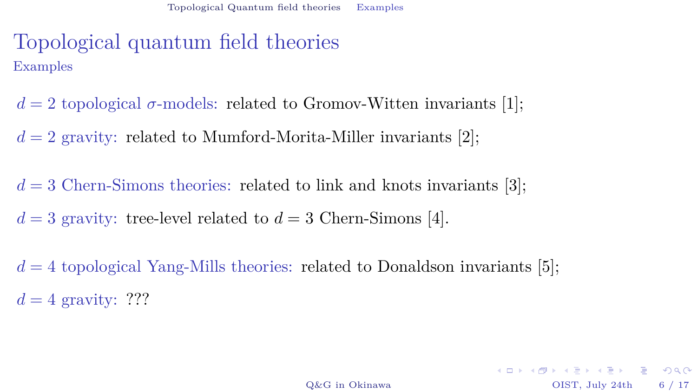# <span id="page-12-0"></span>Topological quantum field theories Examples

- $d = 2$  topological  $\sigma$ -models: related to Gromov-Witten invariants [\[1\]](#page-39-0);
- $d = 2$  gravity: related to Mumford-Morita-Miller invariants [\[2\]](#page-39-1);
- $d = 3$  Chern-Simons theories: related to link and knots invariants [\[3\]](#page-39-2);
- $d = 3$  gravity: tree-level related to  $d = 3$  Chern-Simons [\[4\]](#page-39-3).
- $d = 4$  topological Yang-Mills theories: related to Donaldson invariants [\[5\]](#page-39-4);  $d = 4$  gravity: ???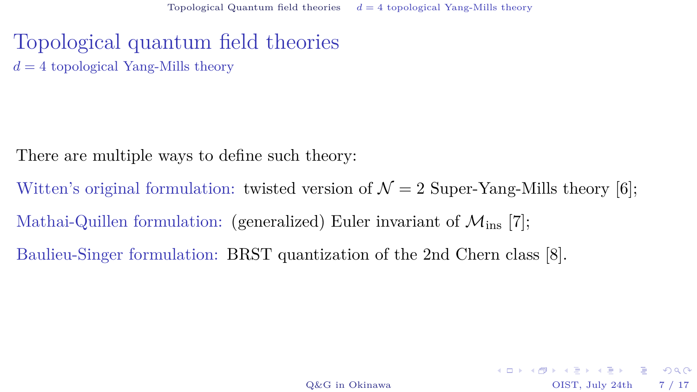#### <span id="page-13-0"></span>Topological quantum field theories  $d = 4$  topological Yang-Mills theory

There are multiple ways to define such theory:

Witten's original formulation: twisted version of  $\mathcal{N}=2$  Super-Yang-Mills theory [\[6\]](#page-40-1); Mathai-Quillen formulation: (generalized) Euler invariant of  $\mathcal{M}_{ins}$  [\[7\]](#page-40-2); Baulieu-Singer formulation: BRST quantization of the 2nd Chern class [\[8\]](#page-40-3).

K ロ ▶ K @ ▶ K 할 > K 할 > 1 할 > 1 9 Q Q\*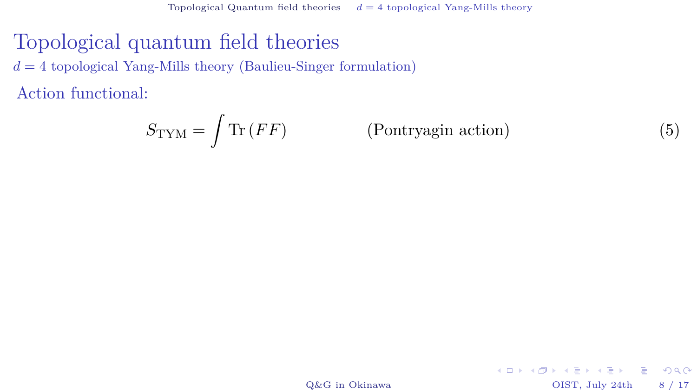## Topological quantum field theories

 $d = 4$  topological Yang-Mills theory (Baulieu-Singer formulation)

Action functional:

$$
S_{\text{TYM}} = \int \text{Tr}(FF) \tag{Pontryagin action}
$$

[Q&G in Okinawa](#page-0-0) OIST, July 24th 8 / 17

 $2990$ 

メロメ 大御 メメ 老人 メモメ 一番 一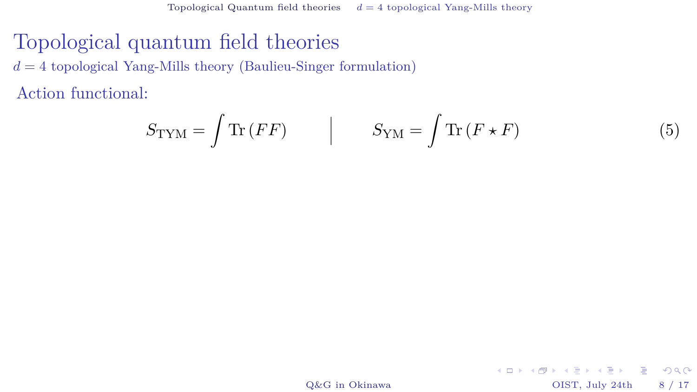#### Topological quantum field theories

 $d = 4$  topological Yang-Mills theory (Baulieu-Singer formulation)

Action functional:

$$
S_{\text{TYM}} = \int \text{Tr}(FF) \qquad | \qquad S_{\text{YM}} = \int \text{Tr}(F \star F) \tag{5}
$$

K ロ ▶ K @ ▶ K 할 > K 할 > 1 할 > 1 이익어

[Q&G in Okinawa](#page-0-0) OIST, July 24th 8 / 17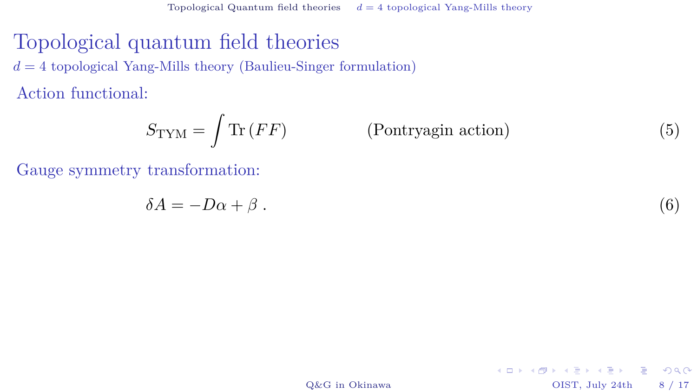# Topological quantum field theories

 $d = 4$  topological Yang-Mills theory (Baulieu-Singer formulation)

Action functional:

$$
S_{\text{TYM}} = \int \text{Tr}(FF) \tag{Pontryagin action}
$$
 (7)

Gauge symmetry transformation:

$$
\delta A = -D\alpha + \beta \tag{6}
$$

[Q&G in Okinawa](#page-0-0) OIST, July 24th 8 / 17

 $299$ 

キロメ イタメ イミメ イモメー ヨー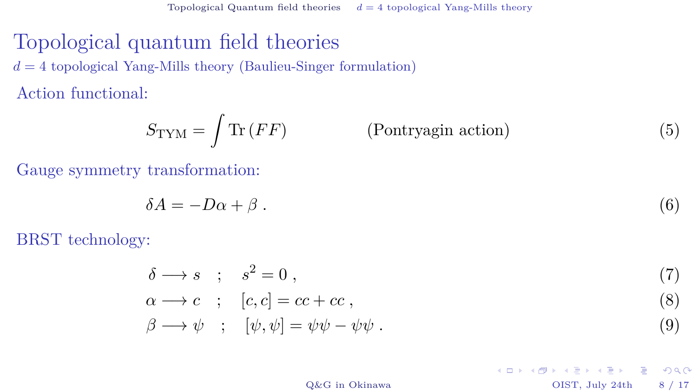#### Topological quantum field theories

 $d = 4$  topological Yang-Mills theory (Baulieu-Singer formulation)

Action functional:

$$
S_{\text{TYM}} = \int \text{Tr}(FF) \tag{Pontryagin action}
$$
 (7)

Gauge symmetry transformation:

$$
\delta A = -D\alpha + \beta \tag{6}
$$

BRST technology:

$$
\delta \longrightarrow s \; ; \; s^2 = 0 \; , \tag{7}
$$
\n
$$
\alpha \longrightarrow c \; ; \; [c, c] = cc + cc \; , \tag{8}
$$
\n
$$
\beta \longrightarrow \psi \; ; \; [\psi, \psi] = \psi \psi - \psi \psi \; . \tag{9}
$$

[Q&G in Okinawa](#page-0-0) OIST, July 24th 8 / 17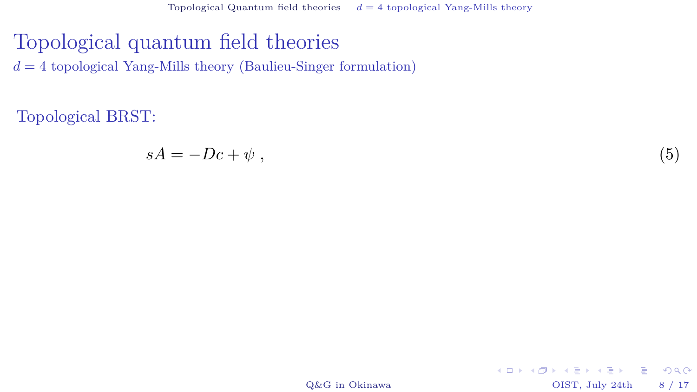#### Topological quantum field theories  $d = 4$  topological Yang-Mills theory (Baulieu-Singer formulation)

Topological BRST:

$$
sA = -Dc + \psi \t{,} \t(5)
$$

[Q&G in Okinawa](#page-0-0) OIST, July 24th 8 / 17

 $2990$ 

イロト イ団 トイヨト イヨト ニヨー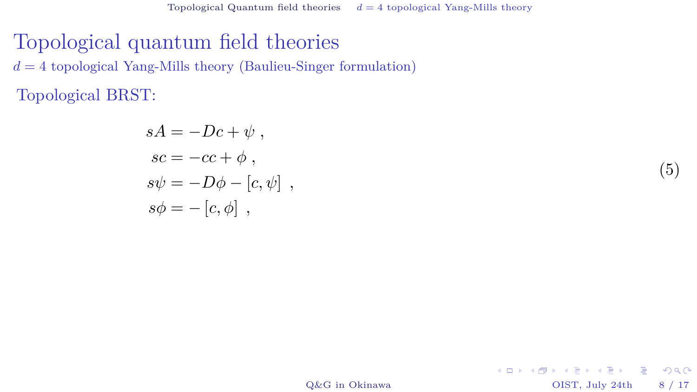# Topological quantum field theories  $d = 4$  topological Yang-Mills theory (Baulieu-Singer formulation)

Topological BRST:

$$
sA = -Dc + \psi ,
$$
  
\n
$$
sc = -cc + \phi ,
$$
  
\n
$$
s\psi = -D\phi - [c, \psi ] ,
$$
  
\n
$$
s\phi = - [c, \phi ] ,
$$

(5)

 $2990$ 

[Q&G in Okinawa](#page-0-0) OIST, July 24th 8 / 17

イロト イ団 トイヨト イヨト ニヨー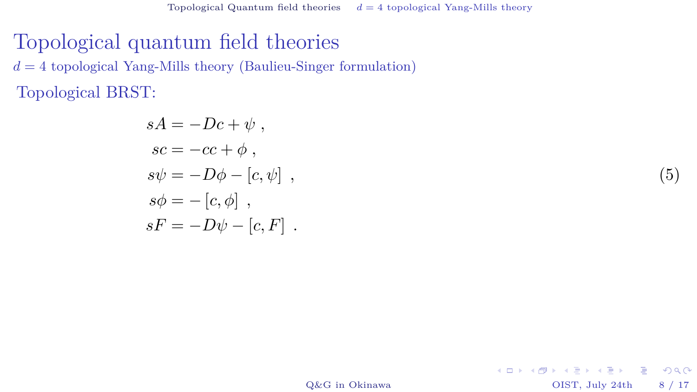Topological quantum field theories  $d = 4$  topological Yang-Mills theory (Baulieu-Singer formulation)

Topological BRST:

$$
sA = -Dc + \psi ,
$$
  
\n
$$
sc = -cc + \phi ,
$$
  
\n
$$
s\psi = -D\phi - [c, \psi ] ,
$$
  
\n
$$
s\phi = -[c, \phi ] ,
$$
  
\n
$$
sF = -D\psi - [c, F ] .
$$

(5)

[Q&G in Okinawa](#page-0-0) OIST, July 24th 8 / 17

K ロ ▶ K @ ▶ K 할 > K 할 > 1 할 > 1 9 Q Q\*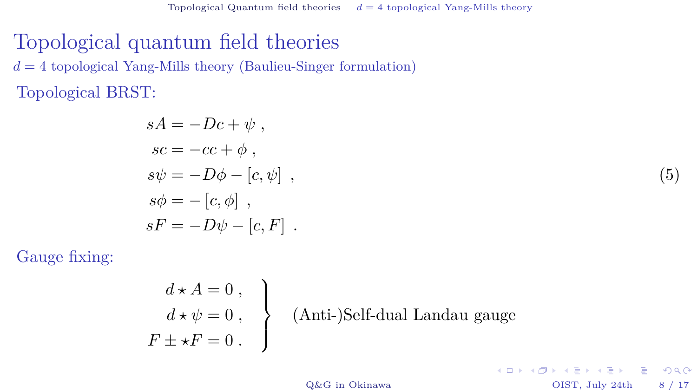#### Topological quantum field theories  $d = 4$  topological Yang-Mills theory (Baulieu-Singer formulation)

Topological BRST:

$$
sA = -Dc + \psi ,
$$
  
\n
$$
sc = -cc + \phi ,
$$
  
\n
$$
s\psi = -D\phi - [c, \psi ] ,
$$
  
\n
$$
s\phi = -[c, \phi ] ,
$$
  
\n
$$
sF = -D\psi - [c, F ] .
$$

Gauge fixing:

$$
\begin{aligned}\nd \star A &= 0, \\
d \star \psi &= 0, \\
F \pm \star F &= 0.\n\end{aligned}
$$
 (Anti-)Self-dual Landau gauge

[Q&G in Okinawa](#page-0-0) OIST, July 24th 8 / 17

(5)

 $299$ 

キロメ イタメ イミメ イモメー ヨー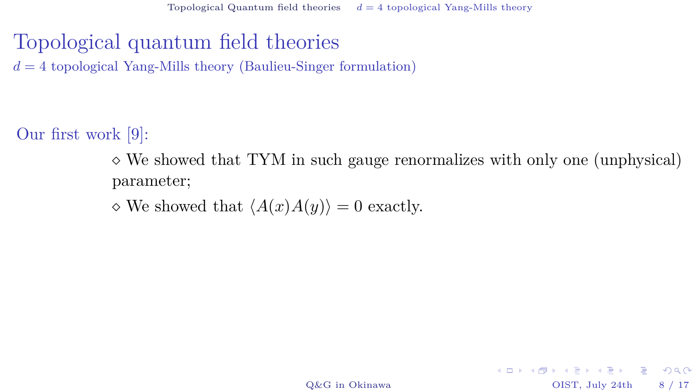Topological quantum field theories  $d = 4$  topological Yang-Mills theory (Baulieu-Singer formulation)

Our first work [\[9\]](#page-40-4):

 $\Diamond$  We showed that TYM in such gauge renormalizes with only one (unphysical) parameter;

 $\Diamond$  We showed that  $\langle A(x)A(y)\rangle = 0$  exactly.

[Q&G in Okinawa](#page-0-0) OIST, July 24th 8 / 17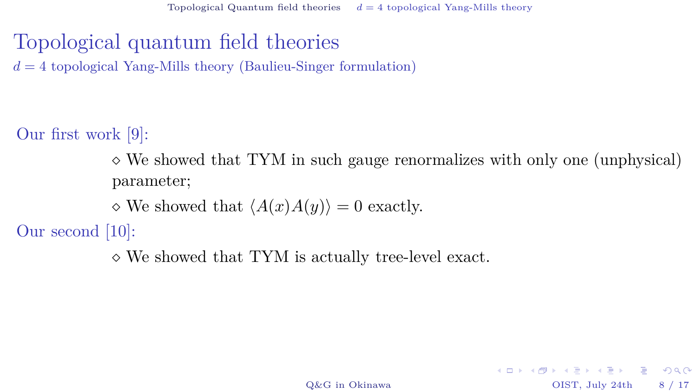Topological quantum field theories  $d = 4$  topological Yang-Mills theory (Baulieu-Singer formulation)

Our first work [\[9\]](#page-40-4):

 $\Diamond$  We showed that TYM in such gauge renormalizes with only one (unphysical) parameter;

 $\Diamond$  We showed that  $\langle A(x)A(y)\rangle = 0$  exactly.

Our second [\[10\]](#page-40-5):

We showed that TYM is actually tree-level exact.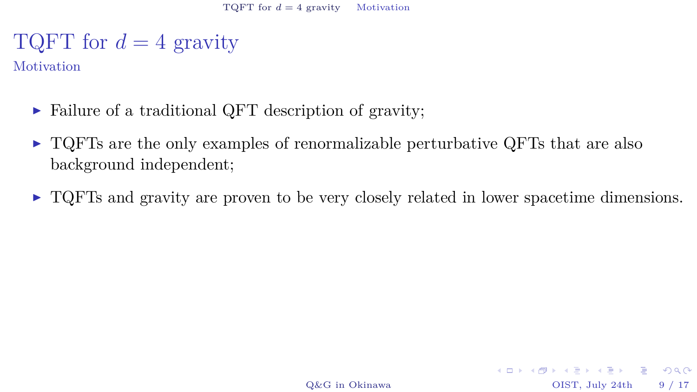<span id="page-24-0"></span>**Motivation** 

- $\triangleright$  Failure of a traditional QFT description of gravity;
- $\triangleright$  TQFTs are the only examples of renormalizable perturbative QFTs that are also background independent;
- $\triangleright$  TQFTs and gravity are proven to be very closely related in lower spacetime dimensions.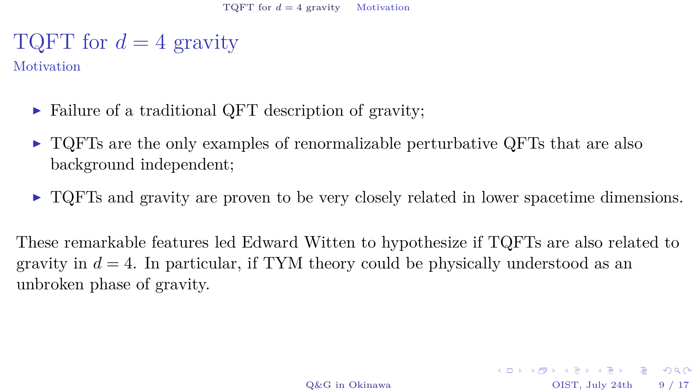**Motivation** 

- $\triangleright$  Failure of a traditional QFT description of gravity;
- $\triangleright$  TQFTs are the only examples of renormalizable perturbative QFTs that are also background independent;
- $\triangleright$  TQFTs and gravity are proven to be very closely related in lower spacetime dimensions.

These remarkable features led Edward Witten to hypothesize if TQFTs are also related to gravity in  $d = 4$ . In particular, if TYM theory could be physically understood as an unbroken phase of gravity.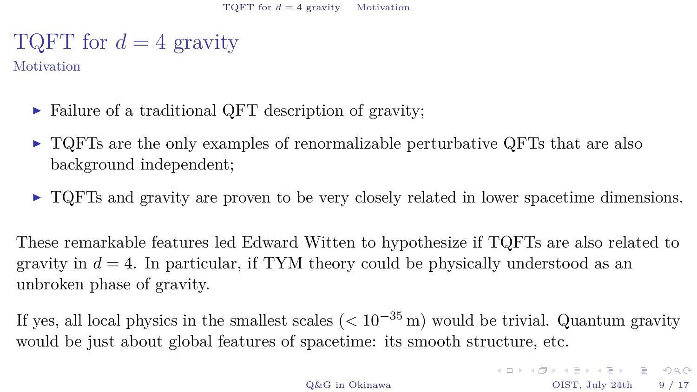**Motivation** 

- $\triangleright$  Failure of a traditional QFT description of gravity;
- $\triangleright$  TQFTs are the only examples of renormalizable perturbative QFTs that are also background independent;
- $\triangleright$  TQFTs and gravity are proven to be very closely related in lower spacetime dimensions.

These remarkable features led Edward Witten to hypothesize if TQFTs are also related to gravity in  $d = 4$ . In particular, if TYM theory could be physically understood as an unbroken phase of gravity.

If yes, all local physics in the smallest scales  $(< 10^{-35}$  m) would be trivial. Quantum gravity would be just about global features of spacetime: its smooth structure, etc.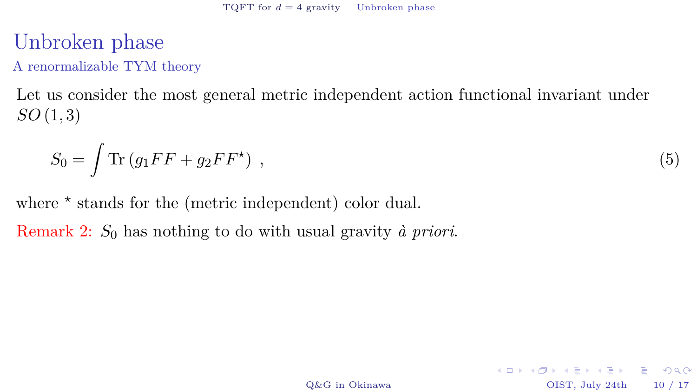# <span id="page-27-0"></span>Unbroken phase

A renormalizable TYM theory

Let us consider the most general metric independent action functional invariant under *SO* (1*,* 3)

$$
S_0 = \int \text{Tr} \left( g_1 F F + g_2 F F^* \right) , \qquad (5)
$$

where  $*$  stands for the (metric independent) color dual.

Remark 2: *S*<sup>0</sup> has nothing to do with usual gravity *à priori*.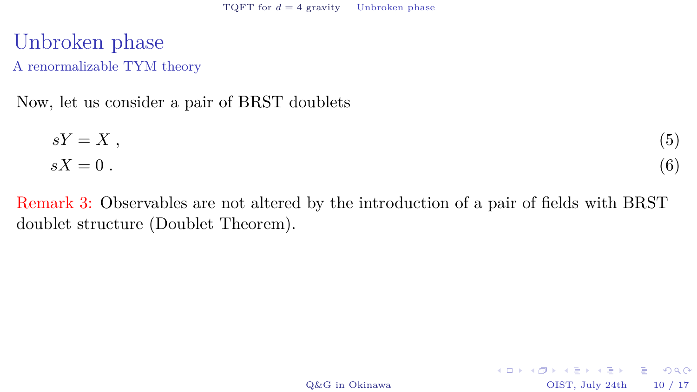Unbroken phase A renormalizable TYM theory

Now, let us consider a pair of BRST doublets

$$
sY = X ,
$$
  
\n
$$
sX = 0 .
$$
\n(5)

Remark 3: Observables are not altered by the introduction of a pair of fields with BRST doublet structure (Doublet Theorem).

[Q&G in Okinawa](#page-0-0) OIST, July 24th 10 / 17

KID KARA KEN KEN EL YOKO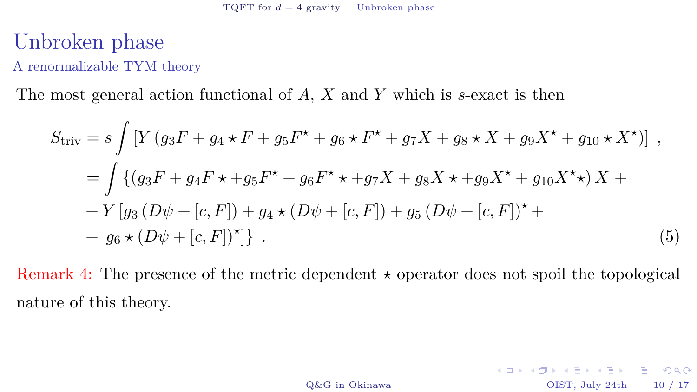#### Unbroken phase A renormalizable TYM theory

The most general action functional of *A*, *X* and *Y* which is *s*-exact is then

$$
S_{\text{triv}} = s \int \left[ Y \left( g_3 F + g_4 \star F + g_5 F^{\star} + g_6 \star F^{\star} + g_7 X + g_8 \star X + g_9 X^{\star} + g_{10} \star X^{\star} \right) \right],
$$
  
\n
$$
= \int \left\{ \left( g_3 F + g_4 F \star + g_5 F^{\star} + g_6 F^{\star} \star + g_7 X + g_8 X \star + g_9 X^{\star} + g_{10} X^{\star} \star \right) X + Y \left[ g_3 \left( D \psi + [c, F] \right) + g_4 \star (D \psi + [c, F]) + g_5 \left( D \psi + [c, F] \right)^{\star} + \right. \\ + g_6 \star (D \psi + [c, F])^{\star} \right\} . \tag{5}
$$

Remark 4: The presence of the metric dependent  $\star$  operator does not spoil the topological nature of this theory.

[Q&G in Okinawa](#page-0-0) OIST, July 24th 10 / 17

KID KARA KEN KEN EL YOKO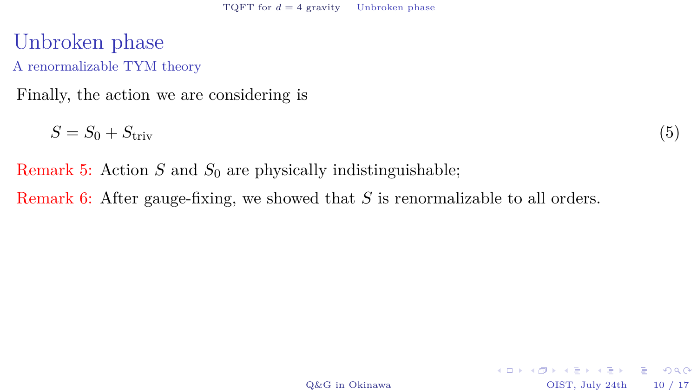#### Unbroken phase A renormalizable TYM theory

Finally, the action we are considering is

 $S = S_0 + S_{\text{triv}}$  (5)

Remark 5: Action *S* and  $S_0$  are physically indistinguishable;

Remark 6: After gauge-fixing, we showed that *S* is renormalizable to all orders.

[Q&G in Okinawa](#page-0-0) OIST, July 24th 10 / 17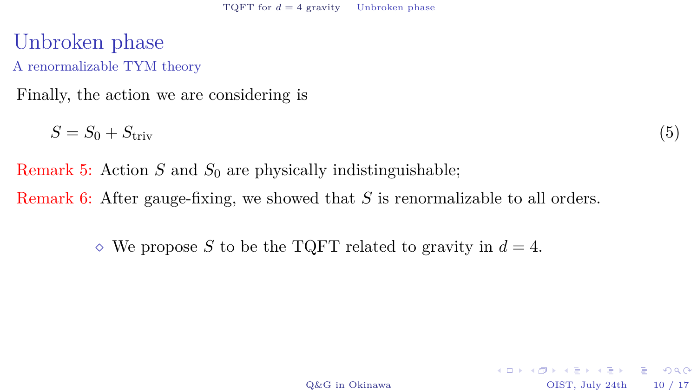#### Unbroken phase A renormalizable TYM theory

Finally, the action we are considering is

 $S = S_0 + S_{\text{triv}}$  (5)

Remark 5: Action *S* and  $S_0$  are physically indistinguishable; Remark 6: After gauge-fixing, we showed that *S* is renormalizable to all orders.

 $\Diamond$  We propose *S* to be the TQFT related to gravity in  $d = 4$ .

[Q&G in Okinawa](#page-0-0) OIST, July 24th 10 / 17

KID KARA KEN KEN EL YOKO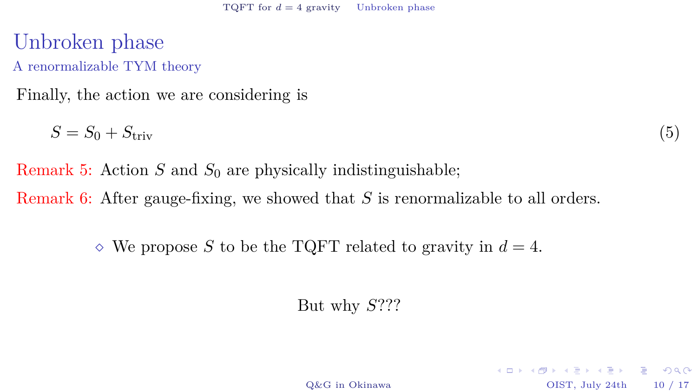Unbroken phase A renormalizable TYM theory

Finally, the action we are considering is

 $S = S_0 + S_{\text{triv}}$  (5)

Remark 5: Action *S* and  $S_0$  are physically indistinguishable; Remark 6: After gauge-fixing, we showed that *S* is renormalizable to all orders.

 $\Diamond$  We propose *S* to be the TQFT related to gravity in  $d = 4$ .

But why *S*???

KID KARA KERKER E KORO [Q&G in Okinawa](#page-0-0) OIST, July 24th 10 / 17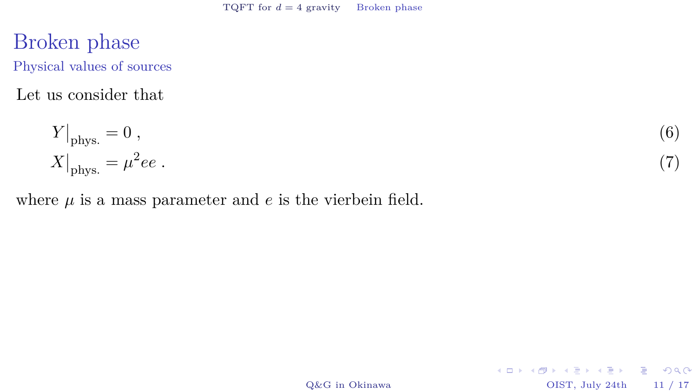#### <span id="page-33-0"></span>Broken phase Physical values of sources

Let us consider that

$$
Y|_{\text{phys.}} = 0 , \t\t(6)
$$
  

$$
X|_{\text{phys.}} = \mu^2 ee . \t\t(7)
$$

where  $\mu$  is a mass parameter and  $e$  is the vierbein field.

*ee .* (7)

[Q&G in Okinawa](#page-0-0) OIST, July 24th 11 / 17

 $\equiv$  990

メロト メタト メミト メミト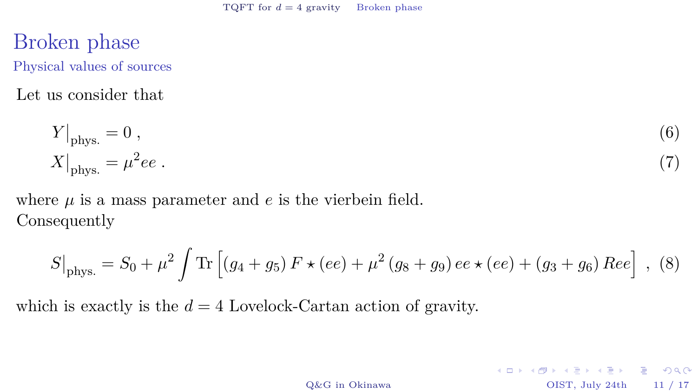#### Broken phase Physical values of sources

Let us consider that

$$
Y|_{\text{phys.}} = 0 , \t\t(6)
$$

$$
X|_{\text{phys.}} = \mu^2 ee . \t\t(7)
$$

where  $\mu$  is a mass parameter and  $e$  is the vierbein field. Consequently

$$
S\big|_{\text{phys.}} = S_0 + \mu^2 \int \text{Tr} \left[ (g_4 + g_5) F \star (ee) + \mu^2 (g_8 + g_9) ee \star (ee) + (g_3 + g_6) Ree \right], (8)
$$

which is exactly is the  $d = 4$  Lovelock-Cartan action of gravity.

[Q&G in Okinawa](#page-0-0) OIST, July 24th 11 / 17

KID KARA KEN KEN EL YOKO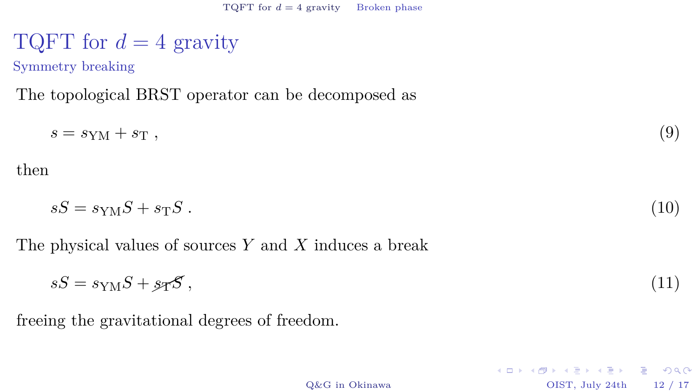Symmetry breaking

The topological BRST operator can be decomposed as

$$
s = s_{\rm YM} + s_{\rm T} \,, \tag{9}
$$

then

$$
sS = s_{\rm YM}S + s_{\rm T}S \tag{10}
$$

The physical values of sources *Y* and *X* induces a break

$$
sS = s_{\rm YM}S + s_{\rm T}S \,,\tag{11}
$$

freeing the gravitational degrees of freedom.

KID KARA KEN KEN EL YOKO [Q&G in Okinawa](#page-0-0) OIST, July 24th 12 / 17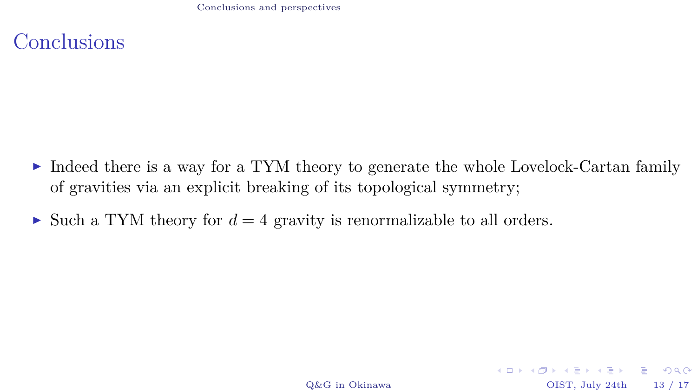[Conclusions and perspectives](#page-36-0)

<span id="page-36-0"></span>**Conclusions** 

- $\triangleright$  Indeed there is a way for a TYM theory to generate the whole Lovelock-Cartan family of gravities via an explicit breaking of its topological symmetry;
- If Such a TYM theory for  $d = 4$  gravity is renormalizable to all orders.

[Q&G in Okinawa](#page-0-0) OIST, July 24th 13 / 17

KID KARA KEN KEN EL YOKO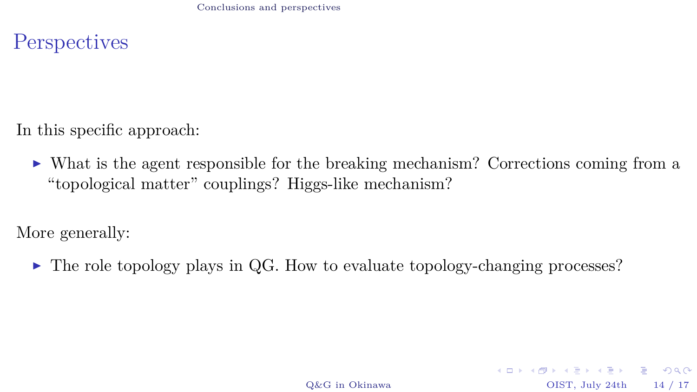**Perspectives** 

In this specific approach:

 $\triangleright$  What is the agent responsible for the breaking mechanism? Corrections coming from a "topological matter" couplings? Higgs-like mechanism?

More generally:

 $\triangleright$  The role topology plays in QG. How to evaluate topology-changing processes?

[Q&G in Okinawa](#page-0-0) OIST, July 24th 14 / 17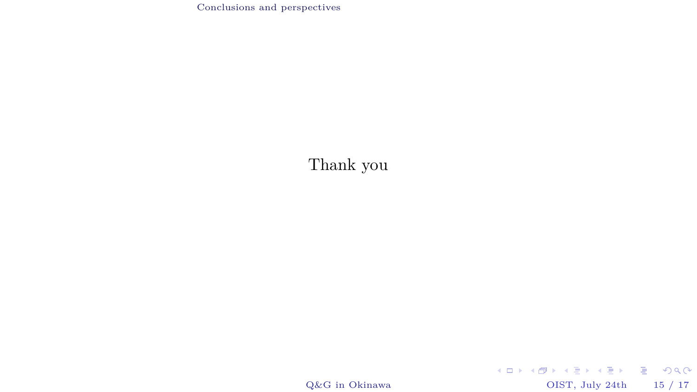[Conclusions and perspectives](#page-36-0)

#### Thank you

 $\operatorname{Q\&G}$ in Okinawa OIST, July 24th 15 / 17

K ロ ▶ K @ ▶ K 할 ▶ K 할 ▶ 이 할 → 9 Q Q ·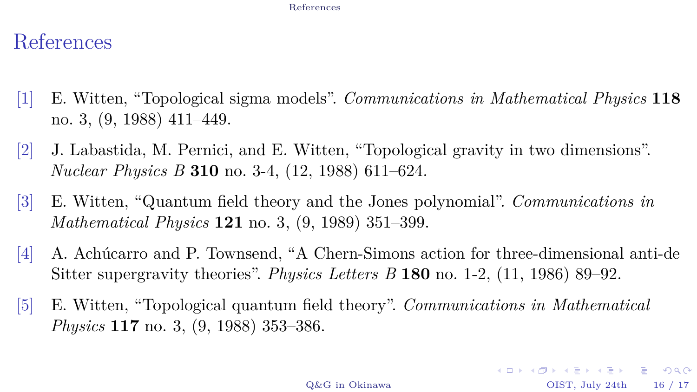#### [References](#page-39-5)

# <span id="page-39-5"></span>References

- <span id="page-39-0"></span>[1] E. Witten, "Topological sigma models". *[Communications in Mathematical Physics](http://dx.doi.org/10.1007/BF01466725)* **118** [no. 3, \(9, 1988\) 411–449.](http://dx.doi.org/10.1007/BF01466725)
- <span id="page-39-1"></span>[2] J. Labastida, M. Pernici, and E. Witten, "Topological gravity in two dimensions". *Nuclear Physics B* **310** [no. 3-4, \(12, 1988\) 611–624.](http://dx.doi.org/10.1016/0550-3213(88)90094-6)
- <span id="page-39-2"></span>[3] E. Witten, "Quantum field theory and the Jones polynomial". *[Communications in](http://dx.doi.org/10.1007/BF01217730) Mathematical Physics* **121** [no. 3, \(9, 1989\) 351–399.](http://dx.doi.org/10.1007/BF01217730)
- <span id="page-39-3"></span>[4] A. Achúcarro and P. Townsend, "A Chern-Simons action for three-dimensional anti-de Sitter supergravity theories". *Physics Letters B* **180** [no. 1-2, \(11, 1986\) 89–92.](http://dx.doi.org/10.1016/0370-2693(86)90140-1)
- <span id="page-39-4"></span>[5] E. Witten, "Topological quantum field theory". *[Communications in Mathematical](http://dx.doi.org/10.1007/BF01223371) Physics* **117** [no. 3, \(9, 1988\) 353–386.](http://dx.doi.org/10.1007/BF01223371)

[Q&G in Okinawa](#page-0-0) OIST, July 24th 16 / 17